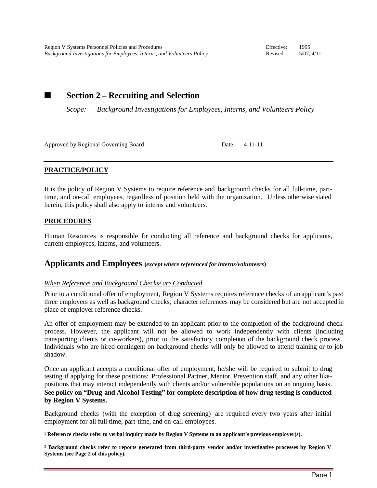■ Section 2 – **Recruiting and Selection** 

*Scope: Background Investigations for Employees, Interns, and Volunteers Policy*

Approved by Regional Governing Board Date: 4-11-11

# **PRACTICE/POLICY**

It is the policy of Region V Systems to require reference and background checks for all full-time, parttime, and on-call employees, regardless of position held with the organization. Unless otherwise stated herein, this policy shall also apply to interns and volunteers.

# **PROCEDURES**

Human Resources is responsible for conducting all reference and background checks for applicants, current employees, interns, and volunteers.

# **Applicants and Employees (***except where referenced for interns/volunteers***)**

## *When Reference<sup>1</sup> and Background Checks<sup>2</sup> are Conducted*

Prior to a conditional offer of employment, Region V Systems requires reference checks of an applicant's past three employers as well as background checks; character references may be considered but are not accepted in place of employer reference checks.

An offer of employment may be extended to an applicant prior to the completion of the background check process. However, the applicant will not be allowed to work independently with clients (including transporting clients or co-workers), prior to the satisfactory completion of the background check process. Individuals who are hired contingent on background checks will only be allowed to attend training or to job shadow.

Once an applicant accepts a conditional offer of employment, he/she will be required to submit to drug testing if applying for these positions: Professional Partner, Mentor, Prevention staff, and any other likepositions that may interact independently with clients and/or vulnerable populations on an ongoing basis. **See policy on "Drug and Alcohol Testing" for complete description of how drug testing is conducted by Region V Systems.**

Background checks (with the exception of drug screening) are required every two years after initial employment for all full-time, part-time, and on-call employees.

<sup>1</sup> Reference checks refer to verbal inquiry made by Region V Systems to an applicant's previous employer(s).

**² Background checks refer to reports generated from third-party vendor and/or investigative processes by Region V Systems (see Page 2 of this policy).**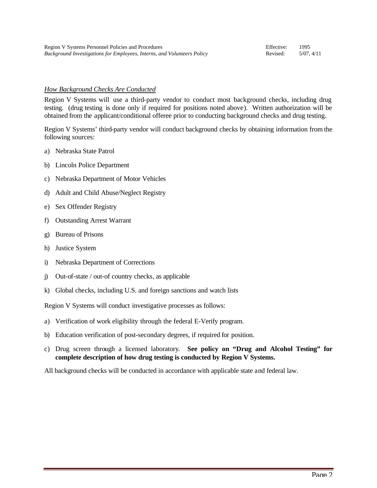#### *How Background Checks Are Conducted*

Region V Systems will use a third-party vendor to conduct most background checks, including drug testing. (drug testing is done only if required for positions noted above). Written authorization will be obtained from the applicant/conditional offeree prior to conducting background checks and drug testing.

Region V Systems' third-party vendor will conduct background checks by obtaining information from the following sources:

- a) Nebraska State Patrol
- b) Lincoln Police Department
- c) Nebraska Department of Motor Vehicles
- d) Adult and Child Abuse/Neglect Registry
- e) Sex Offender Registry
- f) Outstanding Arrest Warrant
- g) Bureau of Prisons
- h) Justice System
- i) Nebraska Department of Corrections
- j) Out-of-state / out-of country checks, as applicable
- k) Global checks, including U.S. and foreign sanctions and watch lists

Region V Systems will conduct investigative processes as follows:

- a) Verification of work eligibility through the federal E-Verify program.
- b) Education verification of post-secondary degrees, if required for position.
- c) Drug screen through a licensed laboratory. **See policy on "Drug and Alcohol Testing" for complete description of how drug testing is conducted by Region V Systems.**
- All background checks will be conducted in accordance with applicable state and federal law.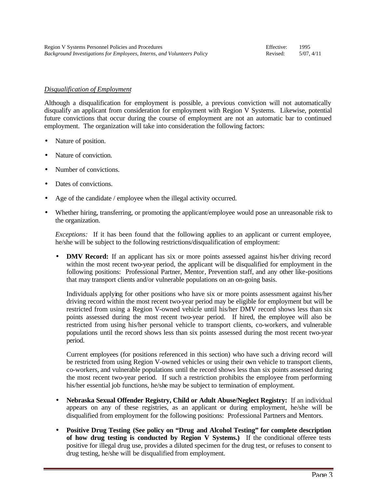#### *Disqualification of Employment*

Although a disqualification for employment is possible, a previous conviction will not automatically disqualify an applicant from consideration for employment with Region V Systems. Likewise, potential future convictions that occur during the course of employment are not an automatic bar to continued employment. The organization will take into consideration the following factors:

- Nature of position.
- Nature of conviction.
- Number of convictions.
- Dates of convictions.
- Age of the candidate / employee when the illegal activity occurred.
- Whether hiring, transferring, or promoting the applicant/employee would pose an unreasonable risk to the organization.

*Exceptions:* If it has been found that the following applies to an applicant or current employee, he/she will be subject to the following restrictions/disqualification of employment:

• **DMV Record:** If an applicant has six or more points assessed against his/her driving record within the most recent two-year period, the applicant will be disqualified for employment in the following positions: Professional Partner, Mentor, Prevention staff, and any other like-positions that may transport clients and/or vulnerable populations on an on-going basis.

Individuals applying for other positions who have six or more points assessment against his/her driving record within the most recent two-year period may be eligible for employment but will be restricted from using a Region V-owned vehicle until his/her DMV record shows less than six points assessed during the most recent two-year period. If hired, the employee will also be restricted from using his/her personal vehicle to transport clients, co-workers, and vulnerable populations until the record shows less than six points assessed during the most recent two-year period.

Current employees (for positions referenced in this section) who have such a driving record will be restricted from using Region V-owned vehicles or using their own vehicle to transport clients, co-workers, and vulnerable populations until the record shows less than six points assessed during the most recent two-year period. If such a restriction prohibits the employee from performing his/her essential job functions, he/she may be subject to termination of employment.

- **Nebraska Sexual Offender Registry, Child or Adult Abuse/Neglect Registry:** If an individual appears on any of these registries, as an applicant or during employment, he/she will be disqualified from employment for the following positions: Professional Partners and Mentors.
- **Positive Drug Testing (See policy on "Drug and Alcohol Testing" for complete description of how drug testing is conducted by Region V Systems.)** If the conditional offeree tests positive for illegal drug use, provides a diluted specimen for the drug test, or refuses to consent to drug testing, he/she will be disqualified from employment.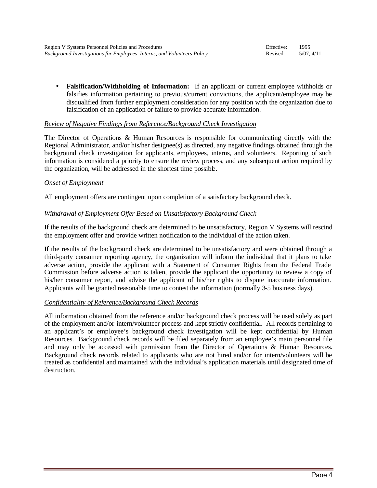• **Falsification/Withholding of Information:** If an applicant or current employee withholds or falsifies information pertaining to previous/current convictions, the applicant/employee may be disqualified from further employment consideration for any position with the organization due to falsification of an application or failure to provide accurate information.

## *Review of Negative Findings from Reference/Background Check Investigation*

The Director of Operations & Human Resources is responsible for communicating directly with the Regional Administrator, and/or his/her designee(s) as directed, any negative findings obtained through the background check investigation for applicants, employees, interns, and volunteers. Reporting of such information is considered a priority to ensure the review process, and any subsequent action required by the organization, will be addressed in the shortest time possible.

## *Onset of Employment*

All employment offers are contingent upon completion of a satisfactory background check.

## *Withdrawal of Employment Offer Based on Unsatisfactory Background Check*

If the results of the background check are determined to be unsatisfactory, Region V Systems will rescind the employment offer and provide written notification to the individual of the action taken.

If the results of the background check are determined to be unsatisfactory and were obtained through a third-party consumer reporting agency, the organization will inform the individual that it plans to take adverse action, provide the applicant with a Statement of Consumer Rights from the Federal Trade Commission before adverse action is taken, provide the applicant the opportunity to review a copy of his/her consumer report, and advise the applicant of his/her rights to dispute inaccurate information. Applicants will be granted reasonable time to contest the information (normally 3-5 business days).

#### *Confidentiality of Reference/Background Check Records*

All information obtained from the reference and/or background check process will be used solely as part of the employment and/or intern/volunteer process and kept strictly confidential. All records pertaining to an applicant's or employee's background check investigation will be kept confidential by Human Resources. Background check records will be filed separately from an employee's main personnel file and may only be accessed with permission from the Director of Operations & Human Resources. Background check records related to applicants who are not hired and/or for intern/volunteers will be treated as confidential and maintained with the individual's application materials until designated time of destruction.